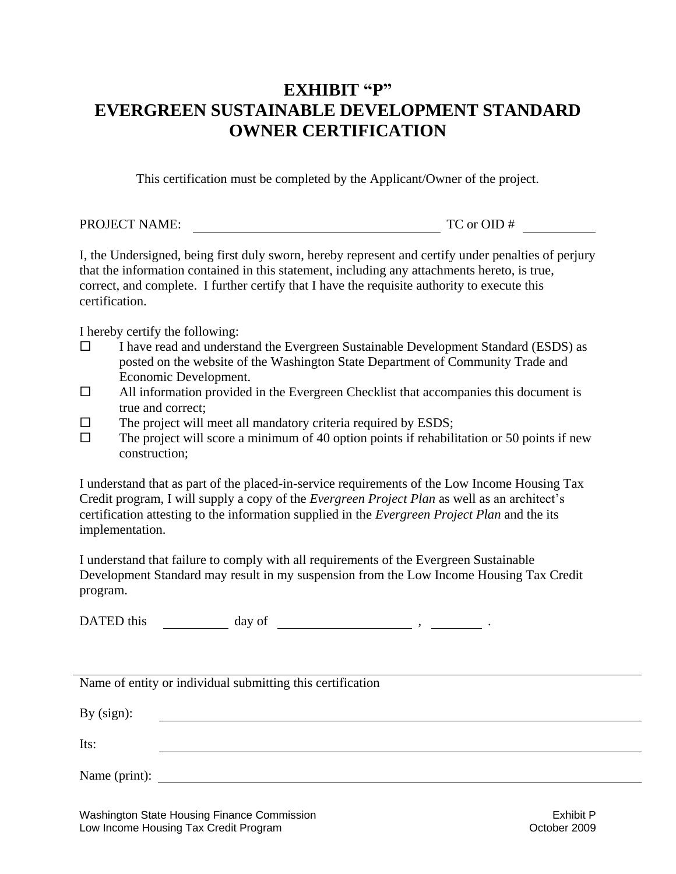## EXHIBIT "P" **EVERGREEN SUSTAINABLE DEVELOPMENT STANDARD OWNER CERTIFICATION**

This certification must be completed by the Applicant/Owner of the project.

| <b>PROJECT NAME:</b> | TC or OID # |
|----------------------|-------------|

I, the Undersigned, being first duly sworn, hereby represent and certify under penalties of perjury that the information contained in this statement, including any attachments hereto, is true, correct, and complete. I further certify that I have the requisite authority to execute this certification.

I hereby certify the following:

- $\square$  I have read and understand the Evergreen Sustainable Development Standard (ESDS) as posted on the website of the Washington State Department of Community Trade and Economic Development.
- $\Box$  All information provided in the Evergreen Checklist that accompanies this document is true and correct;
- $\square$  The project will meet all mandatory criteria required by ESDS;
- $\Box$  The project will score a minimum of 40 option points if rehabilitation or 50 points if new construction;

I understand that as part of the placed-in-service requirements of the Low Income Housing Tax Credit program, I will supply a copy of the *Evergreen Project Plan* as well as an architect's certification attesting to the information supplied in the *Evergreen Project Plan* and the its implementation.

I understand that failure to comply with all requirements of the Evergreen Sustainable Development Standard may result in my suspension from the Low Income Housing Tax Credit program.

DATED this  $\qquad \qquad \text{day of} \qquad \qquad \text{...}$ 

|               | Name of entity or individual submitting this certification |
|---------------|------------------------------------------------------------|
| By $(sign)$ : |                                                            |
| Its:          |                                                            |
| Name (print): |                                                            |